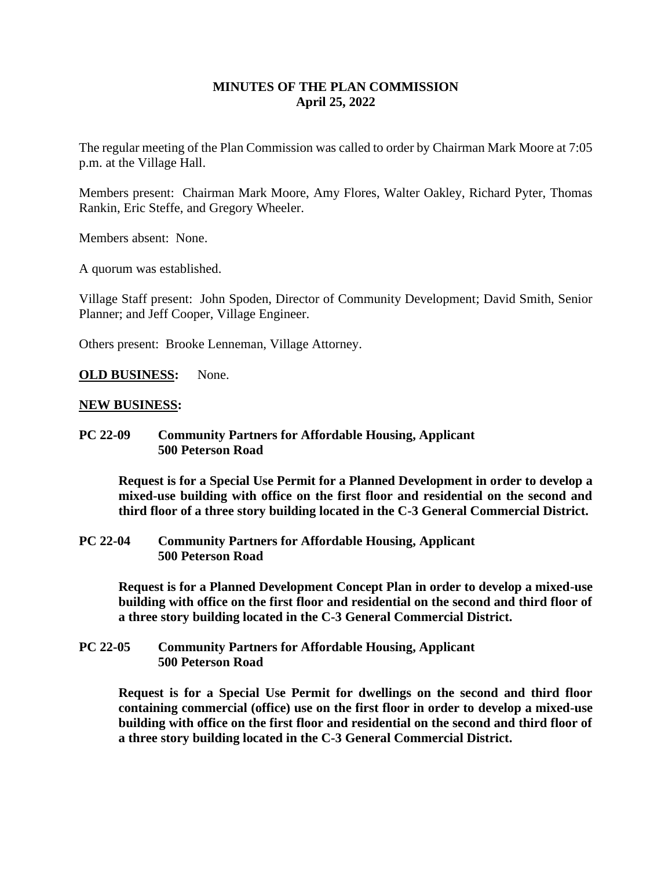# **MINUTES OF THE PLAN COMMISSION April 25, 2022**

The regular meeting of the Plan Commission was called to order by Chairman Mark Moore at 7:05 p.m. at the Village Hall.

Members present: Chairman Mark Moore, Amy Flores, Walter Oakley, Richard Pyter, Thomas Rankin, Eric Steffe, and Gregory Wheeler.

Members absent: None.

A quorum was established.

Village Staff present: John Spoden, Director of Community Development; David Smith, Senior Planner; and Jeff Cooper, Village Engineer.

Others present: Brooke Lenneman, Village Attorney.

#### **OLD BUSINESS:** None.

#### **NEW BUSINESS:**

**PC 22-09 Community Partners for Affordable Housing, Applicant 500 Peterson Road**

**Request is for a Special Use Permit for a Planned Development in order to develop a mixed-use building with office on the first floor and residential on the second and third floor of a three story building located in the C-3 General Commercial District.**

**PC 22-04 Community Partners for Affordable Housing, Applicant 500 Peterson Road**

> **Request is for a Planned Development Concept Plan in order to develop a mixed-use building with office on the first floor and residential on the second and third floor of a three story building located in the C-3 General Commercial District.**

**PC 22-05 Community Partners for Affordable Housing, Applicant 500 Peterson Road**

> **Request is for a Special Use Permit for dwellings on the second and third floor containing commercial (office) use on the first floor in order to develop a mixed-use building with office on the first floor and residential on the second and third floor of a three story building located in the C-3 General Commercial District.**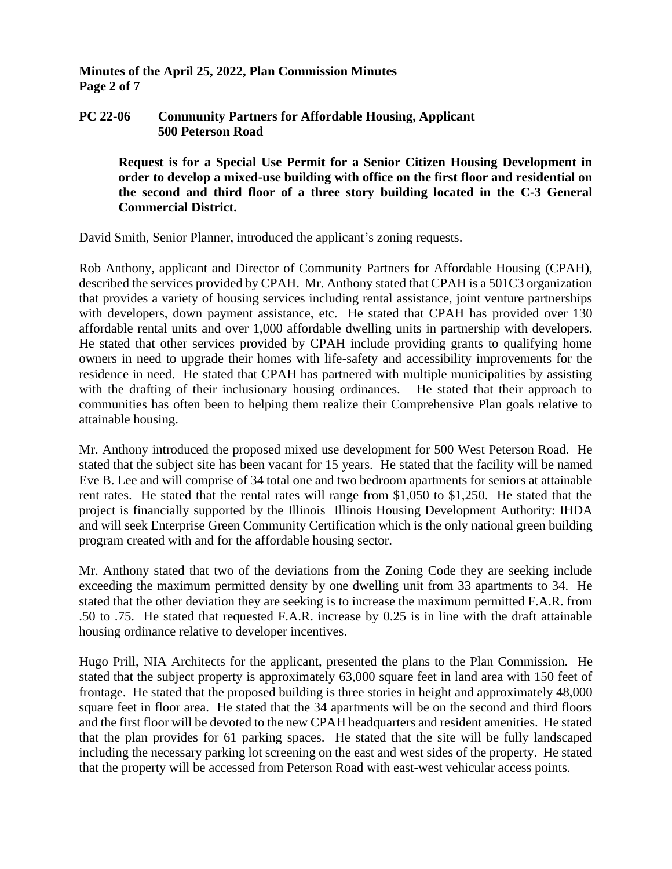### **Minutes of the April 25, 2022, Plan Commission Minutes Page 2 of 7**

### **PC 22-06 Community Partners for Affordable Housing, Applicant 500 Peterson Road**

**Request is for a Special Use Permit for a Senior Citizen Housing Development in order to develop a mixed-use building with office on the first floor and residential on the second and third floor of a three story building located in the C-3 General Commercial District.**

David Smith, Senior Planner, introduced the applicant's zoning requests.

Rob Anthony, applicant and Director of Community Partners for Affordable Housing (CPAH), described the services provided by CPAH. Mr. Anthony stated that CPAH is a 501C3 organization that provides a variety of housing services including rental assistance, joint venture partnerships with developers, down payment assistance, etc. He stated that CPAH has provided over 130 affordable rental units and over 1,000 affordable dwelling units in partnership with developers. He stated that other services provided by CPAH include providing grants to qualifying home owners in need to upgrade their homes with life-safety and accessibility improvements for the residence in need. He stated that CPAH has partnered with multiple municipalities by assisting with the drafting of their inclusionary housing ordinances. He stated that their approach to communities has often been to helping them realize their Comprehensive Plan goals relative to attainable housing.

Mr. Anthony introduced the proposed mixed use development for 500 West Peterson Road. He stated that the subject site has been vacant for 15 years. He stated that the facility will be named Eve B. Lee and will comprise of 34 total one and two bedroom apartments for seniors at attainable rent rates. He stated that the rental rates will range from \$1,050 to \$1,250. He stated that the project is financially supported by the Illinois Illinois Housing Development Authority: IHDA and will seek Enterprise Green Community Certification which is the only national green building program created with and for the affordable housing sector.

Mr. Anthony stated that two of the deviations from the Zoning Code they are seeking include exceeding the maximum permitted density by one dwelling unit from 33 apartments to 34. He stated that the other deviation they are seeking is to increase the maximum permitted F.A.R. from .50 to .75. He stated that requested F.A.R. increase by 0.25 is in line with the draft attainable housing ordinance relative to developer incentives.

Hugo Prill, NIA Architects for the applicant, presented the plans to the Plan Commission. He stated that the subject property is approximately 63,000 square feet in land area with 150 feet of frontage. He stated that the proposed building is three stories in height and approximately 48,000 square feet in floor area. He stated that the 34 apartments will be on the second and third floors and the first floor will be devoted to the new CPAH headquarters and resident amenities. He stated that the plan provides for 61 parking spaces. He stated that the site will be fully landscaped including the necessary parking lot screening on the east and west sides of the property. He stated that the property will be accessed from Peterson Road with east-west vehicular access points.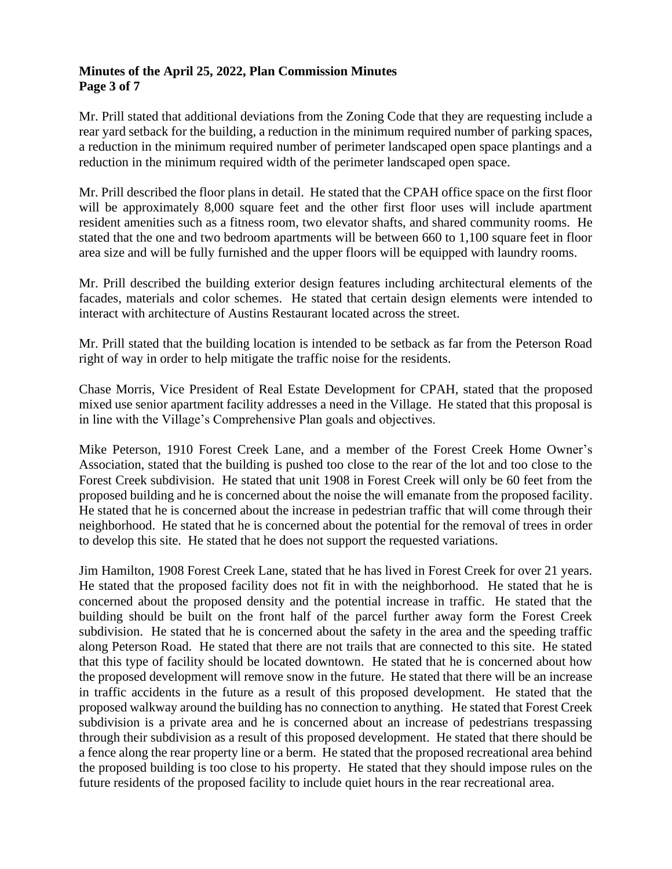### **Minutes of the April 25, 2022, Plan Commission Minutes Page 3 of 7**

Mr. Prill stated that additional deviations from the Zoning Code that they are requesting include a rear yard setback for the building, a reduction in the minimum required number of parking spaces, a reduction in the minimum required number of perimeter landscaped open space plantings and a reduction in the minimum required width of the perimeter landscaped open space.

Mr. Prill described the floor plans in detail. He stated that the CPAH office space on the first floor will be approximately 8,000 square feet and the other first floor uses will include apartment resident amenities such as a fitness room, two elevator shafts, and shared community rooms. He stated that the one and two bedroom apartments will be between 660 to 1,100 square feet in floor area size and will be fully furnished and the upper floors will be equipped with laundry rooms.

Mr. Prill described the building exterior design features including architectural elements of the facades, materials and color schemes. He stated that certain design elements were intended to interact with architecture of Austins Restaurant located across the street.

Mr. Prill stated that the building location is intended to be setback as far from the Peterson Road right of way in order to help mitigate the traffic noise for the residents.

Chase Morris, Vice President of Real Estate Development for CPAH, stated that the proposed mixed use senior apartment facility addresses a need in the Village. He stated that this proposal is in line with the Village's Comprehensive Plan goals and objectives.

Mike Peterson, 1910 Forest Creek Lane, and a member of the Forest Creek Home Owner's Association, stated that the building is pushed too close to the rear of the lot and too close to the Forest Creek subdivision. He stated that unit 1908 in Forest Creek will only be 60 feet from the proposed building and he is concerned about the noise the will emanate from the proposed facility. He stated that he is concerned about the increase in pedestrian traffic that will come through their neighborhood. He stated that he is concerned about the potential for the removal of trees in order to develop this site. He stated that he does not support the requested variations.

Jim Hamilton, 1908 Forest Creek Lane, stated that he has lived in Forest Creek for over 21 years. He stated that the proposed facility does not fit in with the neighborhood. He stated that he is concerned about the proposed density and the potential increase in traffic. He stated that the building should be built on the front half of the parcel further away form the Forest Creek subdivision. He stated that he is concerned about the safety in the area and the speeding traffic along Peterson Road. He stated that there are not trails that are connected to this site. He stated that this type of facility should be located downtown. He stated that he is concerned about how the proposed development will remove snow in the future. He stated that there will be an increase in traffic accidents in the future as a result of this proposed development. He stated that the proposed walkway around the building has no connection to anything. He stated that Forest Creek subdivision is a private area and he is concerned about an increase of pedestrians trespassing through their subdivision as a result of this proposed development. He stated that there should be a fence along the rear property line or a berm. He stated that the proposed recreational area behind the proposed building is too close to his property. He stated that they should impose rules on the future residents of the proposed facility to include quiet hours in the rear recreational area.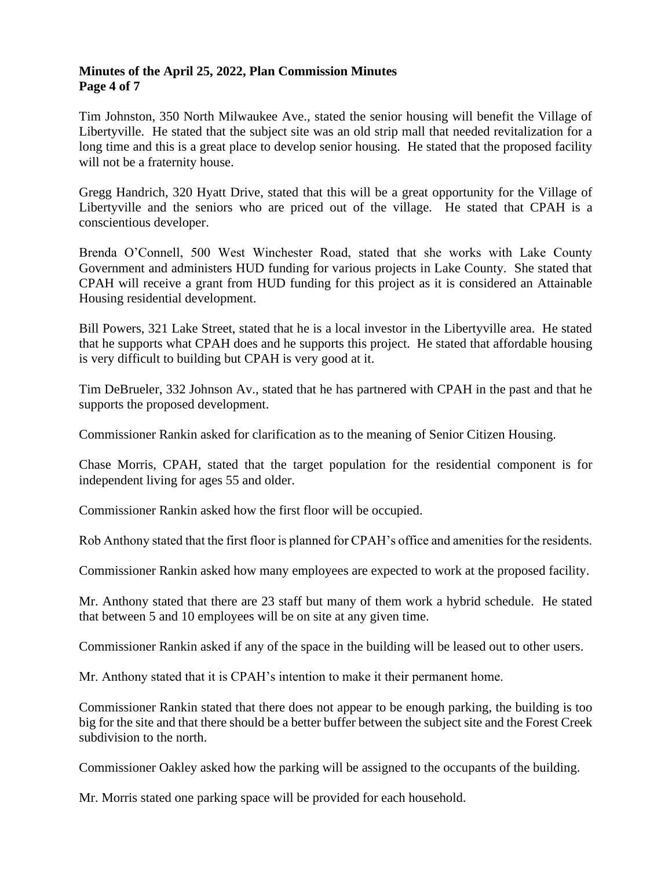### **Minutes of the April 25, 2022, Plan Commission Minutes Page 4 of 7**

Tim Johnston, 350 North Milwaukee Ave., stated the senior housing will benefit the Village of Libertyville. He stated that the subject site was an old strip mall that needed revitalization for a long time and this is a great place to develop senior housing. He stated that the proposed facility will not be a fraternity house.

Gregg Handrich, 320 Hyatt Drive, stated that this will be a great opportunity for the Village of Libertyville and the seniors who are priced out of the village. He stated that CPAH is a conscientious developer.

Brenda O'Connell, 500 West Winchester Road, stated that she works with Lake County Government and administers HUD funding for various projects in Lake County. She stated that CPAH will receive a grant from HUD funding for this project as it is considered an Attainable Housing residential development.

Bill Powers, 321 Lake Street, stated that he is a local investor in the Libertyville area. He stated that he supports what CPAH does and he supports this project. He stated that affordable housing is very difficult to building but CPAH is very good at it.

Tim DeBrueler, 332 Johnson Av., stated that he has partnered with CPAH in the past and that he supports the proposed development.

Commissioner Rankin asked for clarification as to the meaning of Senior Citizen Housing.

Chase Morris, CPAH, stated that the target population for the residential component is for independent living for ages 55 and older.

Commissioner Rankin asked how the first floor will be occupied.

Rob Anthony stated that the first floor is planned for CPAH's office and amenities for the residents.

Commissioner Rankin asked how many employees are expected to work at the proposed facility.

Mr. Anthony stated that there are 23 staff but many of them work a hybrid schedule. He stated that between 5 and 10 employees will be on site at any given time.

Commissioner Rankin asked if any of the space in the building will be leased out to other users.

Mr. Anthony stated that it is CPAH's intention to make it their permanent home.

Commissioner Rankin stated that there does not appear to be enough parking, the building is too big for the site and that there should be a better buffer between the subject site and the Forest Creek subdivision to the north.

Commissioner Oakley asked how the parking will be assigned to the occupants of the building.

Mr. Morris stated one parking space will be provided for each household.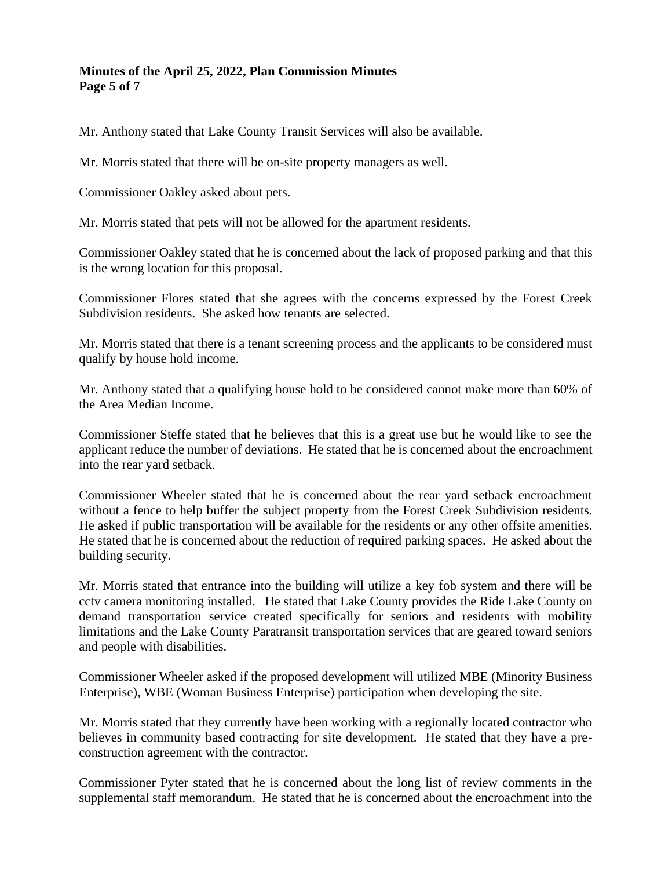# **Minutes of the April 25, 2022, Plan Commission Minutes Page 5 of 7**

Mr. Anthony stated that Lake County Transit Services will also be available.

Mr. Morris stated that there will be on-site property managers as well.

Commissioner Oakley asked about pets.

Mr. Morris stated that pets will not be allowed for the apartment residents.

Commissioner Oakley stated that he is concerned about the lack of proposed parking and that this is the wrong location for this proposal.

Commissioner Flores stated that she agrees with the concerns expressed by the Forest Creek Subdivision residents. She asked how tenants are selected.

Mr. Morris stated that there is a tenant screening process and the applicants to be considered must qualify by house hold income.

Mr. Anthony stated that a qualifying house hold to be considered cannot make more than 60% of the Area Median Income.

Commissioner Steffe stated that he believes that this is a great use but he would like to see the applicant reduce the number of deviations. He stated that he is concerned about the encroachment into the rear yard setback.

Commissioner Wheeler stated that he is concerned about the rear yard setback encroachment without a fence to help buffer the subject property from the Forest Creek Subdivision residents. He asked if public transportation will be available for the residents or any other offsite amenities. He stated that he is concerned about the reduction of required parking spaces. He asked about the building security.

Mr. Morris stated that entrance into the building will utilize a key fob system and there will be cctv camera monitoring installed. He stated that Lake County provides the Ride Lake County on demand transportation service created specifically for seniors and residents with mobility limitations and the Lake County Paratransit transportation services that are geared toward seniors and people with disabilities.

Commissioner Wheeler asked if the proposed development will utilized MBE (Minority Business Enterprise), WBE (Woman Business Enterprise) participation when developing the site.

Mr. Morris stated that they currently have been working with a regionally located contractor who believes in community based contracting for site development. He stated that they have a preconstruction agreement with the contractor.

Commissioner Pyter stated that he is concerned about the long list of review comments in the supplemental staff memorandum. He stated that he is concerned about the encroachment into the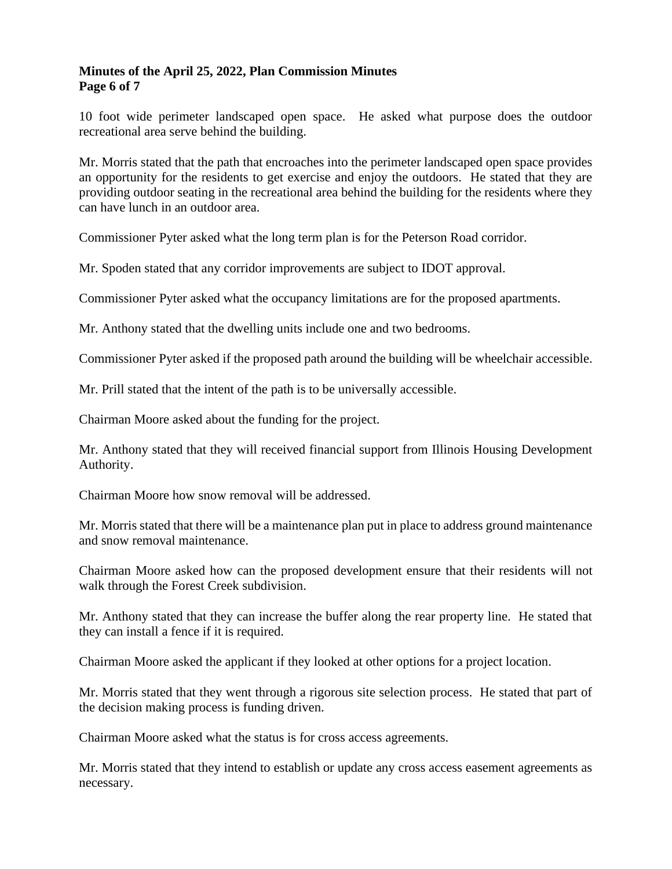# **Minutes of the April 25, 2022, Plan Commission Minutes Page 6 of 7**

10 foot wide perimeter landscaped open space. He asked what purpose does the outdoor recreational area serve behind the building.

Mr. Morris stated that the path that encroaches into the perimeter landscaped open space provides an opportunity for the residents to get exercise and enjoy the outdoors. He stated that they are providing outdoor seating in the recreational area behind the building for the residents where they can have lunch in an outdoor area.

Commissioner Pyter asked what the long term plan is for the Peterson Road corridor.

Mr. Spoden stated that any corridor improvements are subject to IDOT approval.

Commissioner Pyter asked what the occupancy limitations are for the proposed apartments.

Mr. Anthony stated that the dwelling units include one and two bedrooms.

Commissioner Pyter asked if the proposed path around the building will be wheelchair accessible.

Mr. Prill stated that the intent of the path is to be universally accessible.

Chairman Moore asked about the funding for the project.

Mr. Anthony stated that they will received financial support from Illinois Housing Development Authority.

Chairman Moore how snow removal will be addressed.

Mr. Morris stated that there will be a maintenance plan put in place to address ground maintenance and snow removal maintenance.

Chairman Moore asked how can the proposed development ensure that their residents will not walk through the Forest Creek subdivision.

Mr. Anthony stated that they can increase the buffer along the rear property line. He stated that they can install a fence if it is required.

Chairman Moore asked the applicant if they looked at other options for a project location.

Mr. Morris stated that they went through a rigorous site selection process. He stated that part of the decision making process is funding driven.

Chairman Moore asked what the status is for cross access agreements.

Mr. Morris stated that they intend to establish or update any cross access easement agreements as necessary.